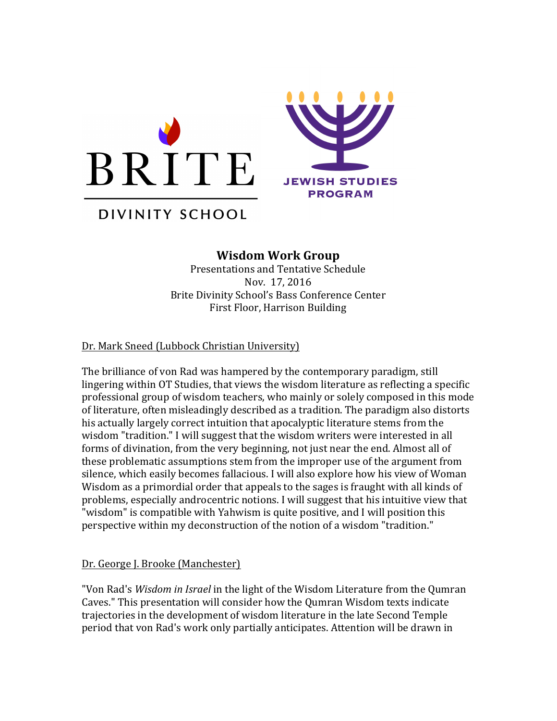

# DIVINITY SCHOOL

## **Wisdom Work Group**

Presentations and Tentative Schedule Nov. 17, 2016 Brite Divinity School's Bass Conference Center First Floor, Harrison Building

#### Dr. Mark Sneed (Lubbock Christian University)

The brilliance of von Rad was hampered by the contemporary paradigm, still lingering within OT Studies, that views the wisdom literature as reflecting a specific professional group of wisdom teachers, who mainly or solely composed in this mode of literature, often misleadingly described as a tradition. The paradigm also distorts his actually largely correct intuition that apocalyptic literature stems from the wisdom "tradition." I will suggest that the wisdom writers were interested in all forms of divination, from the very beginning, not just near the end. Almost all of these problematic assumptions stem from the improper use of the argument from silence, which easily becomes fallacious. I will also explore how his view of Woman Wisdom as a primordial order that appeals to the sages is fraught with all kinds of problems, especially androcentric notions. I will suggest that his intuitive view that "wisdom" is compatible with Yahwism is quite positive, and I will position this perspective within my deconstruction of the notion of a wisdom "tradition."

#### Dr. George J. Brooke (Manchester)

"Von Rad's *Wisdom in Israel* in the light of the Wisdom Literature from the Qumran Caves." This presentation will consider how the Qumran Wisdom texts indicate trajectories in the development of wisdom literature in the late Second Temple period that von Rad's work only partially anticipates. Attention will be drawn in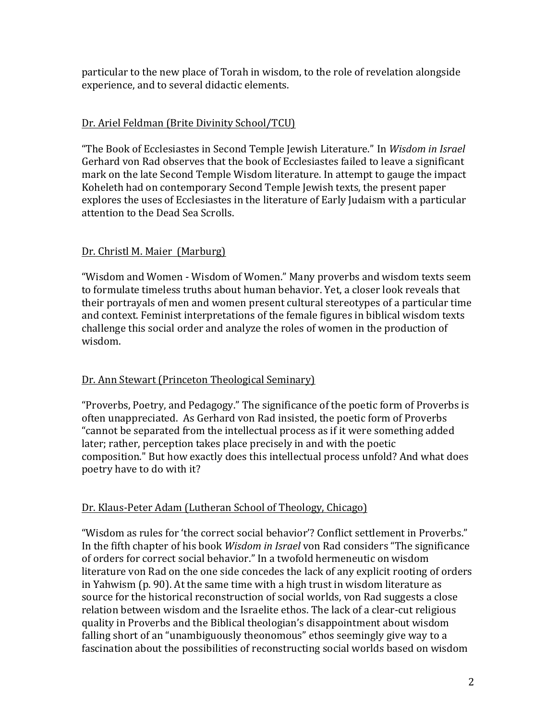particular to the new place of Torah in wisdom, to the role of revelation alongside experience, and to several didactic elements.

#### Dr. Ariel Feldman (Brite Divinity School/TCU)

"The Book of Ecclesiastes in Second Temple Jewish Literature." In *Wisdom in Israel* Gerhard von Rad observes that the book of Ecclesiastes failed to leave a significant mark on the late Second Temple Wisdom literature. In attempt to gauge the impact Koheleth had on contemporary Second Temple Jewish texts, the present paper explores the uses of Ecclesiastes in the literature of Early Judaism with a particular attention to the Dead Sea Scrolls.

#### Dr. Christl M. Maier (Marburg)

"Wisdom and Women - Wisdom of Women." Many proverbs and wisdom texts seem to formulate timeless truths about human behavior. Yet, a closer look reveals that their portrayals of men and women present cultural stereotypes of a particular time and context. Feminist interpretations of the female figures in biblical wisdom texts challenge this social order and analyze the roles of women in the production of wisdom.

## Dr. Ann Stewart (Princeton Theological Seminary)

"Proverbs, Poetry, and Pedagogy." The significance of the poetic form of Proverbs is often unappreciated. As Gerhard von Rad insisted, the poetic form of Proverbs "cannot be separated from the intellectual process as if it were something added later; rather, perception takes place precisely in and with the poetic composition." But how exactly does this intellectual process unfold? And what does poetry have to do with it?

## Dr. Klaus-Peter Adam (Lutheran School of Theology, Chicago)

"Wisdom as rules for 'the correct social behavior'? Conflict settlement in Proverbs." In the fifth chapter of his book *Wisdom in Israel* von Rad considers "The significance of orders for correct social behavior." In a twofold hermeneutic on wisdom literature von Rad on the one side concedes the lack of any explicit rooting of orders in Yahwism  $(p. 90)$ . At the same time with a high trust in wisdom literature as source for the historical reconstruction of social worlds, von Rad suggests a close relation between wisdom and the Israelite ethos. The lack of a clear-cut religious quality in Proverbs and the Biblical theologian's disappointment about wisdom falling short of an "unambiguously theonomous" ethos seemingly give way to a fascination about the possibilities of reconstructing social worlds based on wisdom